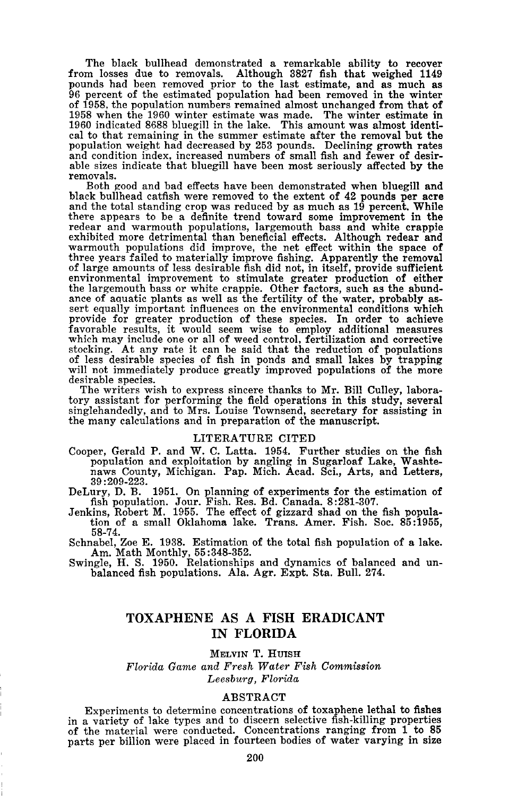The black bullhead demonstrated <sup>a</sup> remarkable ability to recover from losses due to removals. Although <sup>3827</sup> fish that weighed <sup>1149</sup> pounds had been removed prior to the last estimate, and as much as <sup>96</sup> percent of the estimated population had been removed in the winter of 1958, the population numbers remained almost unchanged from that of 1958 when the 1960 winter estimate was made. The winter estimate in 1960 indicated 8688 bluegill in the lake. This amount was almost identical to that remaining in the summer estimate after the removal but the population weight had decreased by 253 pounds. Declining growth rates and condition index, increased numbers of small fish and fewer of desirable sizes indicate that bluegill have been most seriously affected by the removals.

Both good and bad effects have been demonstrated when bluegill and black bullhead catfish were removed to the extent of <sup>42</sup> pounds per acre and the total standing crop was reduced by as much as <sup>19</sup> percent. While there appears to be a definite trend toward some improvement in the redear and warmouth populations, largemouth bass and white crappie exhibited more detrimental than beneficial effects. Although redear and warmouth populations did improve, the net effect within the space of three years failed to materially improve fishing. Apparently the removal of large amounts of less desirable fish did not, in itself, provide sufficient environmental improvement to stimulate greater production of either the largemouth bass or white crappie. Other factors, such as the abundance of aquatic plants as well as the fertility of the water, probably assert equally important influences on the environmental conditions which provide for greater production of these species. In order to achieve favorable results, it would seem wise to employ additional measures which may include one or all of weed control, fertilization and corrective stocking. At any rate it can be said that the reduction of populations of less desirable species of fish in ponds and small lakes by trapping will not immediately produce greatly improved populations of the more desirable species.

The writers wish to express sincere thanks to Mr. Bill Culley, laboratory assistant for performing the field operations in this study, several singlehandedly, and to Mrs. Louise Townsend, secretary for assisting in the many calculations and in preparation of the manuscript.

#### LITERATURE CITED

Cooper, Gerald P. and W. C. Latta. 1954. Further studies on the fish population and exploitation by angling in Sugarloaf Lake, Washte- naws County, Michigan. Pap. Mich. Acad. Sci., Arts, and Letters,

39:209-223.<br>DeLury, D. B. 1951. On planning of experiments for the estimation of fish population. Jour. Fish. Res. Bd. Canada. 8:281-307.

Jenkins, Robert M. 1955. The effect of gizzard shad on the fish population of a small Oklahoma lake. Trans. Amer. Fish. Soc. 85:1955, 58-74.

Schnabel, Zoe E. 1938. Estimation of the total fish population of a lake. Am. Math Monthly, 55 :348-352.

Swingle, H. S. 1950. Relationships and dynamics of balanced and un- balanced fish populations. Ala. Agr. Expt. Sta. Bull. 274.

# **TOXAPHENE** AS A **FISH ERADICANT IN FLORIDA**

MELVIN T. HUISH

*Florida Game and Fresh Water Fish Commission Leesburg, Florida*

### ABSTRACT

Experiments to determine concentrations of toxaphene lethal to fishes in a variety of lake types and to discern selective fish-killing properties of the material were conducted. Concentrations ranging from 1 to 85 parts per billion were placed in fourteen bodies of water varying in size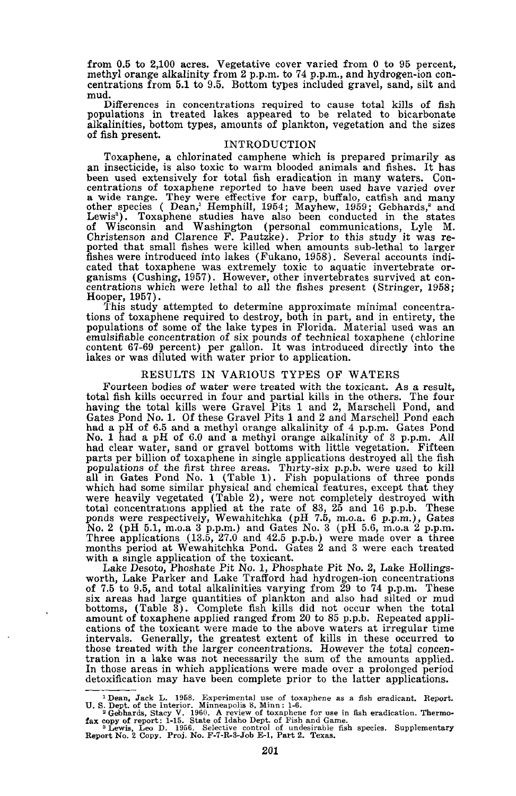from 0.5 to 2,100 acres. Vegetative cover varied from 0 to 95 percent, methyl orange alkalinity from 2 p.p.m. to 74 p.p.m., and hydrogen-ion concentrations from 5.1 to 9.5. Bottom types included gravel, sand, silt and mud.

Differences in concentrations required to cause total kills of fish populations in treated lakes appeared to be related to bicarbonate alkalinities, bottom types, amounts of plankton, vegetation and the sizes of fish present.

### INTRODUCTION

Toxaphene, <sup>a</sup> chlorinated camphene which is prepared primarily as an insecticide, is also toxic to warm blooded animals and fishes. It has been used extensively for total fish eradication in many waters. Concentrations of toxaphene reported to have been used have varied over<br>a wide range. They were effective for carp, buffalo, catfish and many<br>other species ( Dean,' Hemphill, 1954; Mayhew, 1959; Gebhards,<sup>2</sup> and<br>Lewis<sup>3</sup>). To of Wisconsin and Washington (personal communications, Lyle M.<br>Christenson and Clarence F. Pautzke). Prior to this study it was re-<br>ported that small fishes were killed when amounts sub-lethal to larger<br>fishes were introduc fishes were introduced into lakes (Fukano, 1958). Several accounts indicated that toxaphene was extremely toxic to aquatic invertebrate or-<br>ganisms (Cushing, 1957). However, other invertebrates survived at con-<br>centrations Hooper, 1957).

This study attempted to determine approximate minimal concentrations of toxaphene required to destroy, both in part, and in entirety, the populations of some of the lake types in Florida. Material used was an emulsifiable concentration of six pounds of technical toxaphene (chlorine content 67-69 percent) per gallon. It was introduced directly into the lakes or was diluted with water prior to application.

#### RESULTS IN VARIOUS TYPES OF WATERS

Fourteen bodies of water were treated with the toxicant. As a result, total fish kills occurred in four and partial kills in the others. The four having the total kills were Gravel Pits 1 and 2, Marschell Pond, and Gates Pond No. 1. Of these Gravel Pits 1 and 2 and Marschell Pond each had a pH of 6.5 and a methyl orange alkalinity of 4 p.p.m. Gates Pond No.1 had a pH of 6.0 and a methyl orange alkalinity of 3 p.p.m. All had clear water, sand or gravel bottoms with little vegetation. Fifteen parts per billion of toxaphene in single applications destroyed all the fish populations of the first three areas. Thirty-six p.p.b. were used to kill<br>all in Gates Pond No. 1 (Table 1). Fish populations of three ponds which had some similar physical and chemical features, except that they were heavily vegetated (Table 2), were not completely destroyed with total concentrations applied at the rate of 83, 25 and 16 p.p.b. These<br>ponds were respectively, Wewahitchka (pH 7.5, m.o.a. 6 p.p.m.), Gates<br>No. 2 (pH 5.1, m.o.a 3 p.p.m.) and Gates No. 3 (pH 5.6, m.o.a 2 p.p.m.<br>Three appl with a single application of the toxicant.

Lake Desoto, Phoshate Pit No.1, Phosphate Pit No.2, Lake Hollingsworth, Lake Parker and Lake Trafford had hydrogen-ion concentrations of 7.5 to 9.5, and total alkalinities varying from 29 to 74 p.p.m. These six areas had large quantities of plankton and also had silted or mud bottoms, (Table 3). Complete fish kills did not occur when the total amount of toxaphene applied ranged from 20 to 85 p.p.b. Repeated applications of the toxicant were made to the above waters at irregular time intervals. Generally, the greatest extent of kills in these occurred to tration in a lake was not necessarily the sum of the amounts applied. In those areas in which applications were made over a prolonged period detoxification may have been complete prior to the latter applications.

<sup>1</sup> Dean, Jack L. 1958. Experimental use of toxaphene as a fish eradicant. Report.<br>U.S. Dept. of the Interior. Minneapolis 8, Minn : 1-6.<br><sup>2</sup> Gebhards, Stacy V. 1960. A review of toxaphene for use in fish eradication. The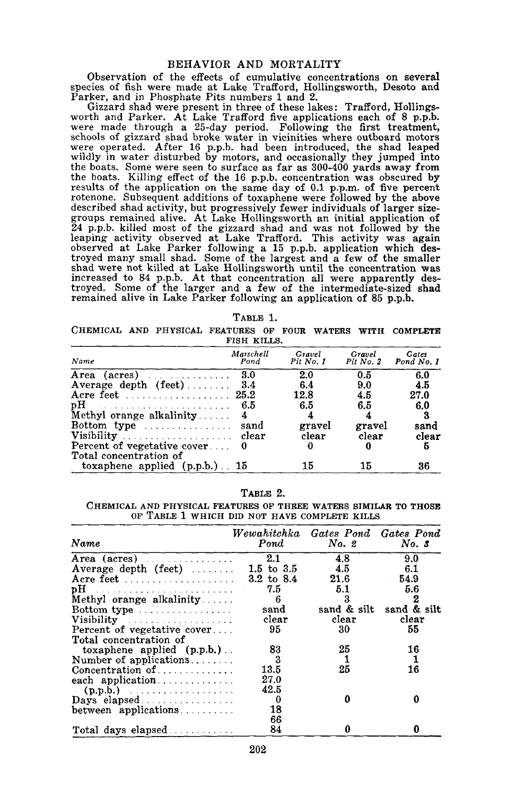## BEHAVIOR AND MORTALITY

Observation of the effects of cumulative concentrations on several species of fish were made at Lake Trafford, Hollingsworth, Desoto and Parker, and in Phosphate Pits numbers 1 and 2.

Gizzard shad were present in three of these lakes: Trafford, Hollingsworth and Parker. At Lake Trafford five applications each of <sup>8</sup> p.p.b. were made through <sup>a</sup> 25-day period. Following the first treatment, schools of gizzard shad broke water in vicinities where outboard motors were operated. After <sup>16</sup> p.p.b. had been introduced, the shad leaped wildly in water disturbed by motors, and occasionally they jumped into the boats. Some were seen to surface as far as 300-400 yards away from the boats. Killing effect of the 16 p.p.b. concentration was obscured by results of the application on the same day of 0.1 p.p.m. of five percent rotenone. Subsequent additions of toxaphene were followed by the above described shad activity, but progressively fewer individuals of larger sizegroups remained alive. At Lake Hollingsworth an initial application of 24 p.p.b. killed most of the gizzard shad and was not followed by the leaping activity observed at Lake Trafford. This activity was again observed at Lake Parker following a 15 p.p.b. application which destroyed many small shad. Some of the largest and a few of the smaller shad were not killed at Lake Hollingsworth until the concentration was increased to <sup>84</sup> p.p.b. At that concentration all were apparently destroyed. Some of the larger and a few of the intermediate-sized shad remained alive in Lake Parker following an application of 85 p.p.b.

| ABL.<br>53 |  |
|------------|--|
|------------|--|

CHEMICAL AND PHYSICAL FEATURES OF FOUR WATERS WITH COMPLETE FISH KILLS.

| Name                                   | Marschell<br>Pond | Gravel<br>Pit No. 1 | Gravel<br>Pit No. 2 | Gates<br>Pond No. 1 |
|----------------------------------------|-------------------|---------------------|---------------------|---------------------|
| Area (acres) $\ldots \ldots \ldots$    | 3.0               | 2.0                 | 0.5                 | 6.0                 |
| Average depth $(\text{feet})$ 3.4      |                   | 6.4                 | 9.0                 | 4.5                 |
|                                        |                   | 12.8                | 4.5                 | 27.0                |
|                                        | 6.5               | 6.5                 | 6.5                 | 6.0                 |
| Methyl orange alkalinity               |                   |                     |                     |                     |
| Bottom type                            | sand              | gravel              | gravel              | sand                |
|                                        |                   | clear               | clear               | clear               |
| Percent of vegetative cover $\ldots$ 0 |                   | 0                   |                     | 5                   |
| Total concentration of                 |                   |                     |                     |                     |
| toxaphene applied $(p.p.b.)$ 15        |                   | 15                  | 15                  | 36                  |

TABLE 2.

CHEMICAL AND PHYSICAL FEATURES OF THREE WATERS SIMILAR TO THOSE OF TABLE 1 WHICH DID NOT HAVE COMPLETE KILLS

| Name                                 | Wewahitchka Gates Pond Gates Pond<br>$P$ ond | $No.$ 2 | No. S                   |
|--------------------------------------|----------------------------------------------|---------|-------------------------|
|                                      | 2.1                                          | 4.8     | 9.0                     |
| Average depth (feet) $\ldots$        | $1.5 \, \text{to} \, \, 3.5$                 | 4.5     | 6.1                     |
|                                      | $3.2$ to $8.4$                               | 21.6    | 54.9                    |
|                                      | 7.5                                          | 5.1     | 5.6                     |
| Methyl orange alkalinity             | 6                                            | З       | 2                       |
| $Bottom type$                        | sand                                         |         | sand & silt sand & silt |
| Visibility                           | clear                                        | clear   | clear                   |
| Percent of vegetative cover          | 95                                           | 30      | 55                      |
| Total concentration of               |                                              |         |                         |
| toxaphene applied $(p.p.b.)$ .       | 83                                           | 25      | 16                      |
| Number of applications               | - 3                                          |         |                         |
| Concentration of $\dots \dots \dots$ | 13.5                                         | 25      | 16                      |
| each application                     | 27.0                                         |         |                         |
|                                      | 42.5                                         |         |                         |
|                                      | 0                                            | Λ       |                         |
| between applications                 | 18                                           |         |                         |
|                                      | 66                                           |         |                         |
| Total days elapsed                   | 84                                           |         |                         |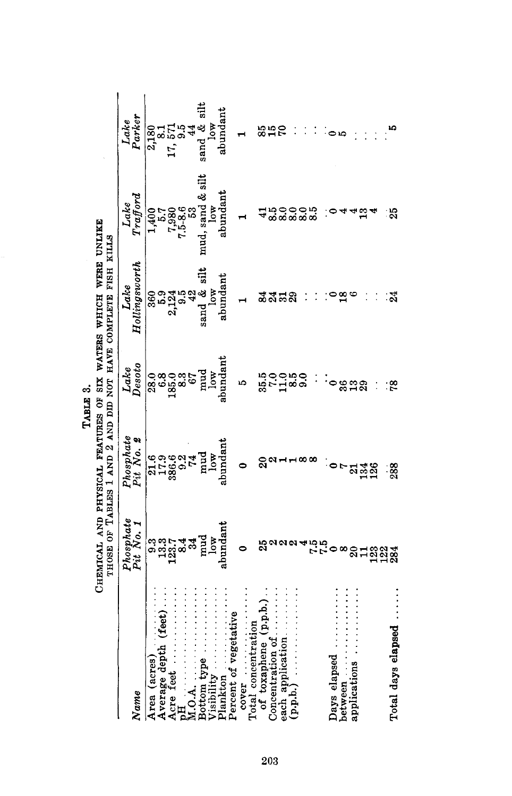|  | TABLE 3. | CHEMICAL AND PHYSICAL FEATURES OF SIX WATERS WHICH WERE UNLIKE | THOSE OF TABLES I AND 2 AND DID NOT HAVE COMPLETE FISH KILLS |
|--|----------|----------------------------------------------------------------|--------------------------------------------------------------|
|  |          |                                                                |                                                              |

|                                      |                                |                                                                                    | TABLE 3.             |                                                                                                                                |                                                                         |                       |
|--------------------------------------|--------------------------------|------------------------------------------------------------------------------------|----------------------|--------------------------------------------------------------------------------------------------------------------------------|-------------------------------------------------------------------------|-----------------------|
|                                      |                                |                                                                                    |                      | CHEMICAL AND PHYSICAL FEATURES OF SIX WATERS WHICH WERE UNLIKE<br>THOSE OF TABLES I AND 2 AND DID NOT HAVE COMPLETE FISH KILLS |                                                                         |                       |
|                                      | Phosphate<br>Pit No. 1         | Phosphate<br>Pit No. 2                                                             | Lake<br>Desoto       | Lake<br>Hollingsworth                                                                                                          | Lake<br>Trafford                                                        | Lake<br>Parker        |
| Name                                 |                                |                                                                                    |                      |                                                                                                                                |                                                                         |                       |
| (acres)<br>Area                      |                                |                                                                                    |                      | 360<br>5.9<br>2,124<br>3,124<br>42<br>42<br>42<br>3,0w<br>10w                                                                  | $\begin{array}{c} 1,400 \\ 5.7 \\ 7,980 \\ 7.5 - 8.6 \\ 53 \end{array}$ | 2,180<br>2,1          |
| Average depth (feet)                 |                                |                                                                                    |                      |                                                                                                                                |                                                                         |                       |
| Acre feet                            | စ်<br>မိုင်းမို့<br>မိုင်းမို့ |                                                                                    |                      |                                                                                                                                |                                                                         | 17, 571<br>9.5        |
|                                      |                                |                                                                                    |                      |                                                                                                                                |                                                                         |                       |
| 4.0.A.                               |                                |                                                                                    |                      |                                                                                                                                |                                                                         |                       |
| Bottom type                          | pnud<br>Jow                    | 21.6<br>17.9<br>386.6<br>386.6<br>20<br>74<br>10w<br>10w<br>10w<br>10w<br>2010dant |                      |                                                                                                                                | mud, sand & silt                                                        | sand $\&$ silt<br>low |
| Visibility                           |                                |                                                                                    |                      |                                                                                                                                |                                                                         |                       |
| Plankton                             | abundant                       |                                                                                    | abundant             | abundant                                                                                                                       | abundant                                                                | abundant              |
| Percent of vegetative                |                                |                                                                                    |                      |                                                                                                                                |                                                                         |                       |
| Total concentration<br>cover         |                                |                                                                                    | ìQ                   |                                                                                                                                |                                                                         |                       |
| of toxaphene (p.p.b.)                | 25                             | ສ                                                                                  | 1900 p.<br>1900 p.e. |                                                                                                                                |                                                                         | 850                   |
| Concentration of                     |                                | c                                                                                  |                      | ಷೆದನಿ                                                                                                                          | ာ ၁<br>အစ                                                               |                       |
| each application                     |                                |                                                                                    |                      |                                                                                                                                |                                                                         |                       |
| $\mathbf{p}.\mathbf{b}.\mathbf{b}$ . |                                |                                                                                    |                      |                                                                                                                                |                                                                         |                       |
|                                      |                                |                                                                                    | 9.0                  |                                                                                                                                | ဝ ကို<br>ထိ ထ                                                           |                       |
|                                      | 750 00                         |                                                                                    |                      |                                                                                                                                |                                                                         |                       |
|                                      |                                |                                                                                    |                      |                                                                                                                                |                                                                         |                       |
| Days elapsed                         |                                |                                                                                    |                      |                                                                                                                                |                                                                         |                       |
| between                              |                                |                                                                                    | 888<br>818           |                                                                                                                                |                                                                         |                       |
| applications                         |                                |                                                                                    |                      |                                                                                                                                |                                                                         |                       |
|                                      |                                | a 38                                                                               |                      |                                                                                                                                | ≌                                                                       |                       |
|                                      | sigga                          |                                                                                    |                      |                                                                                                                                |                                                                         |                       |
|                                      |                                |                                                                                    |                      |                                                                                                                                |                                                                         |                       |
| Total days elapsed.                  |                                | 288                                                                                | °5.                  | 24                                                                                                                             | ನಿ                                                                      |                       |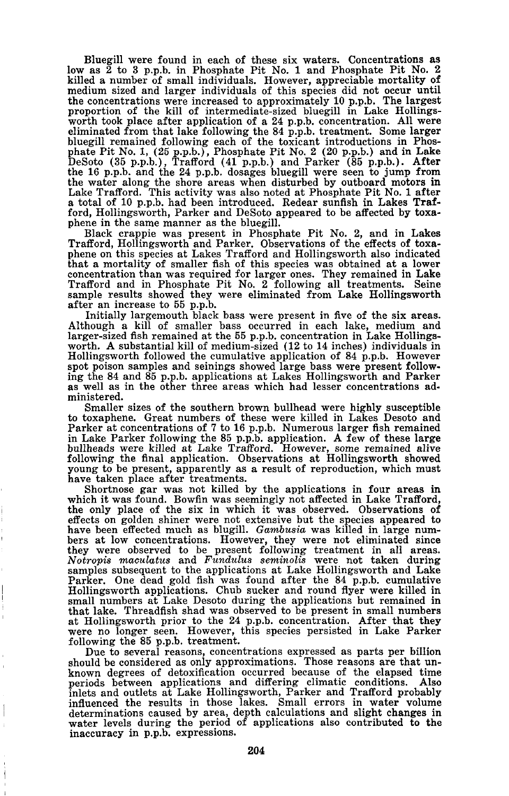Bluegill were found in each of these six waters. Concentrations as low as <sup>2</sup> to <sup>3</sup> p.p.b. in Phosphate Pit No.1 and Phosphate Pit No.2 killed a number of small individuals. However, appreciable mortality of medium sized and larger individuals of this species did not occur until the concentrations were increased to approximately 10 p.p.b. The largest proportion of the kill of intermediate-sized bluegill in Lake Hollings-<br>worth took place after application of a 24 p.p.b. concentration. All were<br>eliminated from that lake following the 84 p.p.b. treatment. Some larger bluegill remained following each of the toxicant introductions in Phos-phate Pit No.1, (25 p.p.b.), Phosphate Pit No.2 (20 p.p.b.) and in Lake DeSoto (35 p.p.b.), Trafford (41 p.p.b.) and Parker (85 p.p.b.). After the 16 p.p.b. and the 24 p.p.b. dosages bluegill were seen to jump from the water along the shore areas when disturbed by outboard motors in Lake Trafford. This activity was also noted at Phosphate Pit No. <sup>1</sup> after <sup>a</sup> total of <sup>10</sup> p.p.b. had been introduced. Redear sunfish in Lakes Trafford, Hollingsworth, Parker and DeSoto appeared to be affected by toxaphene in the same manner as the bluegill.

Black crappie was present in Phosphate Pit No.2, and in Lakes Trafford, Hollingsworth and Parker. Observations of the effects of toxa-phene on this species at Lakes Trafford and Hollingsworth also indicated that a mortality of smaller fish of this species was obtained at a lower concentration than was required for larger ones. They remained in Lake Trafford and in Phosphate Pit No. 2 following all treatments. Seine sample results showed they were eliminated from Lake Hollingsworth

after an increase to 55 p.p.b.<br>Initially largemouth black bass were present in five of the six areas. Although a kill of smaller bass occurred in each lake, medium and larger-sized fish remained at the 55 p.p.b. concentration in Lake Hollingsworth. A substantial kill of medium-sized (12 to 14 inches) individuals in Hollingsworth followed the cumulative application of 84 p.p.b. However spot poison samples and seinings showed large bass were present following the <sup>84</sup> and <sup>85</sup> p.p.b. applications at Lakes Hollingsworth and Parker as well as in the other three areas which had lesser concentrations ad· ministered.

Smaller sizes of the southern brown bullhead were highly susceptible to toxaphene. Great numbers of these were killed in Lakes Desoto and Parker at concentrations of 7 to 16 p.p.b. Numerous larger fish remained in Lake Parker following the 85 p.p.b. application. A few of these large bullheads were killed at Lake Trafford. However, some remained alive following the final application. Observations at Hollingsworth showed young to be present, apparently as a result of reproduction, which must have taken place after treatments.

Shortnose gar was not killed by the applications in four areas in which it was found. Bowfin was seemingly not affected in Lake Trafford, the only place of the six in which it was observed. Observations of effects on golden shiner were not extensive but the species appeared to have been effected much as blugill. *Gambusia* was killed in large num-<br>bers at low concentrations. However, they were not eliminated since they were observed to be present following treatment in all areas. *<sup>N</sup> otropis maculatus* and *Fundulus seminolis* were not taken during samples subsequent to the applications at Lake Hollingsworth and Lake Parker. One dead gold fish was found after the 84 p.p.b. cumulative Hollingsworth applications. Chub sucker and round flyer were killed in small numbers at Lake Desoto during the applications but remained in that lake. Threadfish shad was observed to be present in small numbers at Hollingsworth prior to the 24 p.p.b. concentration. After that they were no longer seen. However, this species persisted in Lake Parker following the 85 p.p.b. treatment.

Due to several reasons, concentrations expressed as parts per billion should be considered as only approximations. Those reasons are that un- known degrees of detoxification occurred because of the elapsed time periods between applications and differing climatic conditions. Also inlets and outlets at Lake Hollingsworth, Parker and Trafford probably influenced the results in those lakes. Small errors in water volume determinations caused by area, depth calculations and slight changes in water levels during the period of applications also contributed to the inaccuracy in p.p.b. expressions.